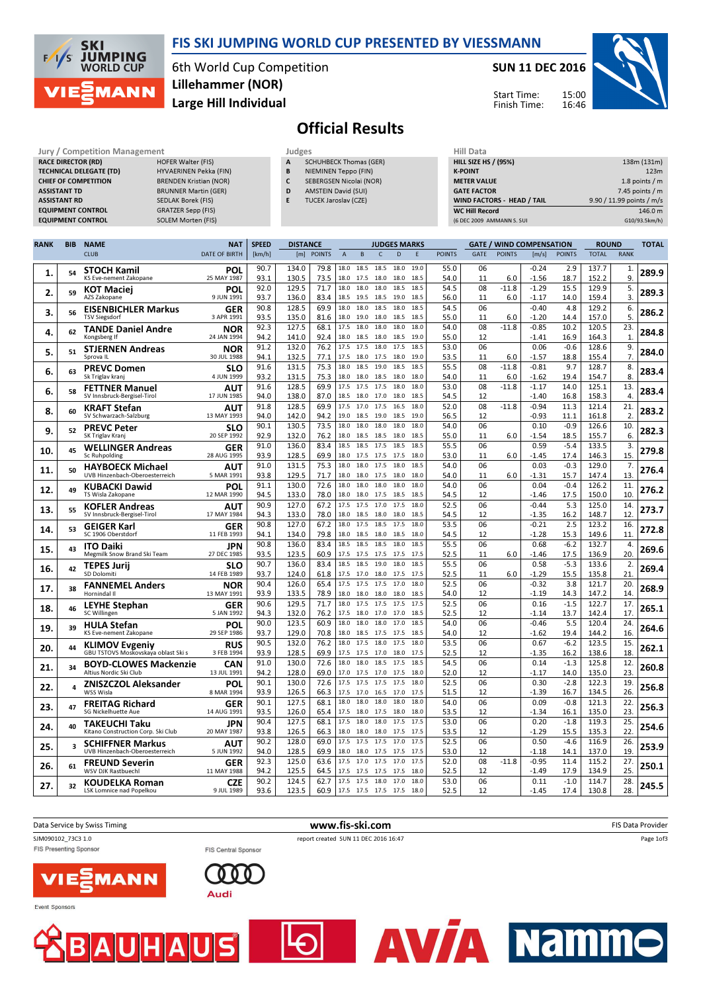



6th World Cup Competition Large Hill Individual Lillehammer (NOR)

#### SUN 11 DEC 2016



Start Time: Finish Time:

# Official Results

| Jury / Competition Management  |                               |   | Judges                        | Hill Data                   |                           |  |  |
|--------------------------------|-------------------------------|---|-------------------------------|-----------------------------|---------------------------|--|--|
| <b>RACE DIRECTOR (RD)</b>      | HOFER Walter (FIS)            | A | <b>SCHUHBECK Thomas (GER)</b> | <b>HILL SIZE HS / (95%)</b> | 138m (131m)               |  |  |
| <b>TECHNICAL DELEGATE (TD)</b> | HYVAERINEN Pekka (FIN)        | В | NIEMINEN Teppo (FIN)          | <b>K-POINT</b>              | 123m                      |  |  |
| <b>CHIEF OF COMPETITION</b>    | <b>BRENDEN Kristian (NOR)</b> |   | SEBERGSEN Nicolai (NOR)       | <b>METER VALUE</b>          | 1.8 points $/m$           |  |  |
| <b>ASSISTANT TD</b>            | <b>BRUNNER Martin (GER)</b>   | D | <b>AMSTEIN David (SUI)</b>    | <b>GATE FACTOR</b>          | 7.45 points $/m$          |  |  |
| <b>ASSISTANT RD</b>            | SEDLAK Borek (FIS)            |   | <b>TUCEK Jaroslav (CZE)</b>   | WIND FACTORS - HEAD / TAIL  | 9.90 / 11.99 points / m/s |  |  |
| <b>EQUIPMENT CONTROL</b>       | <b>GRATZER Sepp (FIS)</b>     |   |                               | <b>WC Hill Record</b>       | 146.0 m                   |  |  |
| <b>EQUIPMENT CONTROL</b>       | SOLEM Morten (FIS)            |   |                               | (6 DEC 2009 AMMANN S. SUI   | G10/93.5km/h)             |  |  |

| RANK | <b>BIB</b> | <b>NAME</b>                                               | <b>NAT</b>                | <b>SPEED</b> | <b>DISTANCE</b> |               |              |              | <b>JUDGES MARKS</b>          |              |               |             |                | <b>GATE / WIND COMPENSATION</b> |                | <b>ROUND</b>   |                | <b>TOTAL</b> |
|------|------------|-----------------------------------------------------------|---------------------------|--------------|-----------------|---------------|--------------|--------------|------------------------------|--------------|---------------|-------------|----------------|---------------------------------|----------------|----------------|----------------|--------------|
|      |            | <b>CLUB</b>                                               | <b>DATE OF BIRTH</b>      | [km/h]       | [m]             | <b>POINTS</b> | $\mathsf A$  | B            | $\mathsf{C}$<br>D            | E            | <b>POINTS</b> | <b>GATE</b> | <b>POINTS</b>  | [m/s]                           | <b>POINTS</b>  | <b>TOTAL</b>   | <b>RANK</b>    |              |
| 1.   | 54         | <b>STOCH Kamil</b><br>KS Eve-nement Zakopane              | POL<br>25 MAY 1987        | 90.7<br>93.1 | 134.0<br>130.5  | 79.8<br>73.5  | 18.0<br>18.0 | 18.5<br>17.5 | 18.5<br>18.0<br>18.0<br>18.0 | 19.0<br>18.5 | 55.0<br>54.0  | 06<br>11    | 6.0            | $-0.24$<br>$-1.56$              | 2.9<br>18.7    | 137.7<br>152.2 | 1.<br>9.       | 289.9        |
| 2.   | 59         | <b>KOT Maciei</b>                                         | POL<br>9 JUN 1991         | 92.0         | 129.5           | 71.7          | 18.0<br>18.5 | 18.0<br>19.5 | 18.0<br>18.5<br>18.5<br>19.0 | 18.5<br>18.5 | 54.5          | 08          | $-11.8$        | $-1.29$                         | 15.5           | 129.9          | 5.             | 289.3        |
| 3.   | 56         | AZS Zakopane<br><b>EISENBICHLER Markus</b>                | <b>GER</b>                | 93.7<br>90.8 | 136.0<br>128.5  | 83.4<br>69.9  | 18.0         | 18.0         | 18.5<br>18.0                 | 18.5         | 56.0<br>54.5  | 11<br>06    | 6.0            | $-1.17$<br>$-0.40$              | 14.0<br>4.8    | 159.4<br>129.2 | 3.<br>6.       | 286.2        |
|      |            | <b>TSV Siegsdorf</b>                                      | 3 APR 1991                | 93.5<br>92.3 | 135.0<br>127.5  | 81.6<br>68.1  | 18.0<br>17.5 | 19.0<br>18.0 | 18.0<br>18.5<br>18.0<br>18.0 | 18.5<br>18.0 | 55.0<br>54.0  | 11<br>08    | 6.0<br>$-11.8$ | $-1.20$<br>$-0.85$              | 14.4<br>10.2   | 157.0<br>120.5 | 5.<br>23.      |              |
| 4.   | 62         | <b>TANDE Daniel Andre</b><br>Kongsberg If                 | NOR<br>24 JAN 1994        | 94.2         | 141.0           | 92.4          | 18.0         | 18.5         | 18.0<br>18.5                 | 19.0         | 55.0          | 12          |                | $-1.41$                         | 16.9           | 164.3          | $\mathbf{1}$   | 284.8        |
| 5.   | 51         | <b>STJERNEN Andreas</b>                                   | <b>NOR</b>                | 91.2         | 132.0           | 76.2          | 17.5         | 17.5         | 18.0<br>17.5                 | 18.5         | 53.0          | 06          |                | 0.06                            | $-0.6$         | 128.6          | 9.             | 284.0        |
|      |            | Sprova II                                                 | 30 JUL 1988               | 94.1         | 132.5           | 77.1          | 17.5         | 18.0         | 17.5 18.0                    | 19.0<br>18.5 | 53.5          | 11          | 6.0<br>$-11.8$ | $-1.57$                         | 18.8           | 155.4          | 7.             |              |
| 6.   | 63         | <b>PREVC Domen</b><br>Sk Triglav kranj                    | <b>SLO</b><br>4 JUN 1999  | 91.6<br>93.2 | 131.5<br>131.5  | 75.3<br>75.3  | 18.0<br>18.0 | 18.5<br>18.0 | 19.0<br>18.5<br>18.5<br>18.0 | 18.0         | 55.5<br>54.0  | 08<br>11    | 6.0            | $-0.81$<br>$-1.62$              | 9.7<br>19.4    | 128.7<br>154.7 | 8.<br>8        | 283.4        |
|      | 58         | <b>FETTNER Manuel</b>                                     | AUT                       | 91.6         | 128.5           | 69.9          | 17.5         | 17.5         | 17.5<br>18.0                 | 18.0         | 53.0          | 08          | $-11.8$        | $-1.17$                         | 14.0           | 125.1          | 13             |              |
| 6.   |            | SV Innsbruck-Bergisel-Tirol                               | 17 JUN 1985               | 94.0         | 138.0           | 87.0          | 18.5         | 18.0         | 18.0<br>17.0                 | 18.5         | 54.5          | 12          |                | $-1.40$                         | 16.8           | 158.3          | $\overline{4}$ | 283.4        |
| 8.   | 60         | <b>KRAFT Stefan</b><br>SV Schwarzach-Salzburg             | ΑUΤ                       | 91.8<br>94.0 | 128.5<br>142.0  | 69.9          | 17.5<br>19.0 | 17.0         | 17.5<br>16.5                 | 18.0<br>19.0 | 52.0<br>56.5  | 08<br>12    | $-11.8$        | $-0.94$<br>$-0.93$              | 11.3           | 121.4<br>161.8 | 21<br>2.       | 283.2        |
|      |            | <b>PREVC Peter</b>                                        | 13 MAY 1993<br><b>SLO</b> | 90.1         | 130.5           | 94.2<br>73.5  | 18.0         | 18.5<br>18.0 | 19.0<br>18.5<br>18.0<br>18.0 | 18.0         | 54.0          | 06          |                | 0.10                            | 11.1<br>$-0.9$ | 126.6          | 10.            |              |
| 9.   | 52         | SK Triglav Kranj                                          | 20 SEP 1992               | 92.9         | 132.0           | 76.2          | 18.0         | 18.5         | 18.5<br>18.0                 | 18.5         | 55.0          | 11          | 6.0            | $-1.54$                         | 18.5           | 155.7          | 6.             | 282.3        |
| 10.  | 45         | <b>WELLINGER Andreas</b>                                  | <b>GER</b>                | 91.0         | 136.0           | 83.4          | 18.5         | 18.5         | 17.5<br>18.5                 | 18.5         | 55.5          | 06          |                | 0.59                            | $-5.4$         | 133.5          | 3.             | 279.8        |
|      |            | Sc Ruhpolding                                             | 28 AUG 1995               | 93.9         | 128.5<br>131.5  | 69.9          | 18.0<br>18.0 | 17.5<br>18.0 | 17.5<br>17.5<br>17.5<br>18.0 | 18.0<br>18.5 | 53.0<br>54.0  | 11<br>06    | 6.0            | $-1.45$<br>0.03                 | 17.4<br>$-0.3$ | 146.3<br>129.0 | 15.<br>7.      |              |
| 11.  | 50         | <b>HAYBOECK Michael</b><br>UVB Hinzenbach-Oberoesterreich | <b>AUT</b><br>5 MAR 1991  | 91.0<br>93.8 | 129.5           | 75.3<br>71.7  | 18.0         | 18.0         | 17.5<br>18.0                 | 18.0         | 54.0          | 11          | 6.0            | $-1.31$                         | 15.7           | 147.4          | 13             | 276.4        |
|      |            | <b>KUBACKI Dawid</b>                                      | POL                       | 91.1         | 130.0           | 72.6          | 18.0         | 18.0         | 18.0<br>18.0                 | 18.0         | 54.0          | 06          |                | 0.04                            | $-0.4$         | 126.2          | 11             |              |
| 12.  | 49         | TS Wisla Zakopane                                         | 12 MAR 1990               | 94.5         | 133.0           | 78.0          | 18.0         | 18.0         | 17.5<br>18.5                 | 18.5         | 54.5          | 12          |                | $-1.46$                         | 17.5           | 150.0          | 10             | 276.2        |
| 13.  | 55         | <b>KOFLER Andreas</b>                                     | ΑUΤ                       | 90.9         | 127.0           | 67.2          | 17.5         | 17.5         | 17.0<br>17.5                 | 18.0         | 52.5          | 06          |                | $-0.44$                         | 5.3            | 125.0          | 14             | 273.7        |
|      |            | SV Innsbruck-Bergisel-Tirol                               | 17 MAY 1984<br><b>GER</b> | 94.3<br>90.8 | 133.0<br>127.0  | 78.0<br>67.2  | 18.0<br>18.0 | 18.5<br>17.5 | 18.0 18.0<br>18.5<br>17.5    | 18.5<br>18.0 | 54.5<br>53.5  | 12<br>06    |                | $-1.35$<br>$-0.21$              | 16.2<br>2.5    | 148.7<br>123.2 | 12.<br>16.     |              |
| 14.  | 53         | <b>GEIGER Karl</b><br>SC 1906 Oberstdorf                  | 11 FEB 1993               | 94.1         | 134.0           | 79.8          | 18.0         | 18.5         | 18.5<br>18.0                 | 18.0         | 54.5          | 12          |                | $-1.28$                         | 15.3           | 149.6          | 11             | 272.8        |
| 15.  | 43         | <b>ITO Daiki</b>                                          | JPN                       | 90.8         | 136.0           | 83.4          | 18.5         | 18.5         | 18.5<br>18.0                 | 18.5         | 55.5          | 06          |                | 0.68                            | $-6.2$         | 132.7          | 4.             | 269.6        |
|      |            | Megmilk Snow Brand Ski Team                               | 27 DEC 1985               | 93.5         | 123.5           | 60.9          | 17.5         | 17.5         | 17.5<br>17.5                 | 17.5         | 52.5<br>55.5  | 11          | 6.0            | $-1.46$                         | 17.5           | 136.9          | 20             |              |
| 16.  | 42         | <b>TEPES Jurii</b><br>SD Dolomiti                         | SLO<br>14 FEB 1989        | 90.7<br>93.7 | 136.0<br>124.0  | 83.4<br>61.8  | 18.5<br>17.5 | 18.5<br>17.0 | 19.0<br>18.0<br>18.0 17.5    | 18.5<br>17.5 | 52.5          | 06<br>11    | 6.0            | 0.58<br>$-1.29$                 | $-5.3$<br>15.5 | 133.6<br>135.8 | 2.<br>21.      | 269.4        |
|      |            | <b>FANNEMEL Anders</b>                                    | <b>NOR</b>                | 90.4         | 126.0           | 65.4          | 17.5         | 17.5         | 17.5<br>17.0                 | 18.0         | 52.5          | 06          |                | $-0.32$                         | 3.8            | 121.7          | 20.            |              |
| 17.  | 38         | Hornindal II                                              | 13 MAY 1991               | 93.9         | 133.5           | 78.9          | 18.0         | 18.0         | 18.0<br>18.0                 | 18.5         | 54.0          | 12          |                | $-1.19$                         | 14.3           | 147.2          | 14             | 268.9        |
| 18.  | 46         | <b>LEYHE Stephan</b>                                      | <b>GER</b>                | 90.6         | 129.5           | 71.7          | 18.0         | 17.5         | 17.5<br>17.5                 | 17.5         | 52.5          | 06          |                | 0.16                            | $-1.5$         | 122.7          | 17.<br>17      | 265.1        |
|      |            | SC Willingen                                              | 5 JAN 1992<br>POL         | 94.3<br>90.0 | 132.0<br>123.5  | 76.2<br>60.9  | 17.5<br>18.0 | 18.0<br>18.0 | 17.0<br>17.0<br>18.0<br>17.0 | 18.5<br>18.5 | 52.5<br>54.0  | 12<br>06    |                | $-1.14$<br>$-0.46$              | 13.7<br>5.5    | 142.4<br>120.4 | 24             |              |
| 19.  | 39         | <b>HULA Stefan</b><br>KS Eve-nement Zakopane              | 29 SEP 1986               | 93.7         | 129.0           | 70.8          | 18.0         | 18.5         | 17.5<br>17.5                 | 18.5         | 54.0          | 12          |                | $-1.62$                         | 19.4           | 144.2          | 16             | 264.6        |
| 20.  | 44         | <b>KLIMOV Evgeniy</b>                                     | <b>RUS</b>                | 90.5         | 132.0           | 76.2          | 18.0         | 17.5         | 18.0<br>17.5                 | 18.0         | 53.5          | 06          |                | 0.67                            | $-6.2$         | 123.5          | 15.            | 262.1        |
|      |            | GBU TSTOVS Moskovskaya oblast Ski s                       | 3 FEB 1994                | 93.9         | 128.5           | 69.9          | 17.5         | 17.5         | 17.0<br>18.0                 | 17.5<br>18.5 | 52.5          | 12          |                | $-1.35$                         | 16.2           | 138.6          | 18             |              |
| 21.  | 34         | <b>BOYD-CLOWES Mackenzie</b><br>Altius Nordic Ski Club    | CAN<br>13 JUL 1991        | 91.0<br>94.2 | 130.0<br>128.0  | 72.6<br>69.0  | 18.0<br>17.0 | 18.0<br>17.5 | 18.5<br>17.5<br>17.0<br>17.5 | 18.0         | 54.5<br>52.0  | 06<br>12    |                | 0.14<br>$-1.17$                 | $-1.3$<br>14.0 | 125.8<br>135.0 | 12<br>23.      | 260.8        |
|      | 4          | <b>ZNISZCZOL Aleksander</b>                               | <b>POL</b>                | 90.1         | 130.0           | 72.6          | 17.5         | 17.5         | 17.5<br>17.5                 | 18.0         | 52.5          | 06          |                | 0.30                            | $-2.8$         | 122.3          | 19.            |              |
| 22.  |            | WSS Wisla                                                 | 8 MAR 1994                | 93.9         | 126.5           | 66.3          | 17.5         | 17.0         | 16.5<br>17.0                 | 17.5         | 51.5          | 12          |                | $-1.39$                         | 16.7           | 134.5          | 26             | 256.8        |
| 23.  | 47         | <b>FREITAG Richard</b><br><b>SG Nickelhuette Aue</b>      | <b>GER</b><br>14 AUG 1991 | 90.1<br>93.5 | 127.5<br>126.0  | 68.1<br>65.4  | 18.0<br>17.5 | 18.0         | 18.0<br>18.0<br>17.5<br>18.0 | 18.0<br>18.0 | 54.0<br>53.5  | 06<br>12    |                | 0.09<br>$-1.34$                 | $-0.8$<br>16.1 | 121.3<br>135.0 | 22<br>23       | 256.3        |
|      |            | TAKEUCHI Taku                                             | JPN                       | 90.4         | 127.5           | 68.1          | 17.5         | 18.0<br>18.0 | 17.5<br>18.0                 | 17.5         | 53.0          | 06          |                | 0.20                            | $-1.8$         | 119.3          | 25.            |              |
| 24.  | 40         | Kitano Construction Corp. Ski Club                        | 20 MAY 1987               | 93.8         | 126.5           | 66.3          | 18.0         | 18.0         | 18.0 17.5                    | 17.5         | 53.5          | 12          |                | $-1.29$                         | 15.5           | 135.3          | 22.            | 254.6        |
| 25.  | 3          | <b>SCHIFFNER Markus</b>                                   | AUT                       | 90.2         | 128.0           | 69.0          | 17.5         | 17.5         | 17.5<br>17.0                 | 17.5         | 52.5          | 06          |                | 0.50                            | $-4.6$         | 116.9          | 26.            | 253.9        |
|      |            | UVB Hinzenbach-Oberoesterreich                            | 5 JUN 1992                | 94.0         | 128.5           | 69.9          | 18.0<br>17.5 | 18.0         | 17.5<br>17.5<br>17.0         | 17.5<br>17.5 | 53.0<br>52.0  | 12<br>08    |                | $-1.18$                         | 14.1           | 137.0          | 19             |              |
| 26.  | 61         | <b>FREUND Severin</b><br>WSV DJK Rastbuechl               | GER<br>11 MAY 1988        | 92.3<br>94.2 | 125.0<br>125.5  | 63.6<br>64.5  | 17.5         | 17.0<br>17.5 | 17.5<br>17.5<br>17.5         | 18.0         | 52.5          | 12          | $-11.8$        | $-0.95$<br>$-1.49$              | 11.4<br>17.9   | 115.2<br>134.9 | 27.<br>25.     | 250.1        |
| 27.  | 32         | <b>KOUDELKA Roman</b>                                     | <b>CZE</b>                | 90.2         | 124.5           | 62.7          | 17.5         | 17.5         | 18.0<br>17.0                 | 18.0         | 53.0          | 06          |                | 0.11                            | $-1.0$         | 114.7          | 28.            | 245.5        |
|      |            | <b>LSK Lomnice nad Popelkou</b>                           | 9 JUL 1989                | 93.6         | 123.5           | 60.9          |              |              | 17.5 17.5 17.5 17.5          | 18.0         | 52.5          | 12          |                | $-1.45$                         | 17.4           | 130.8          | 28.            |              |

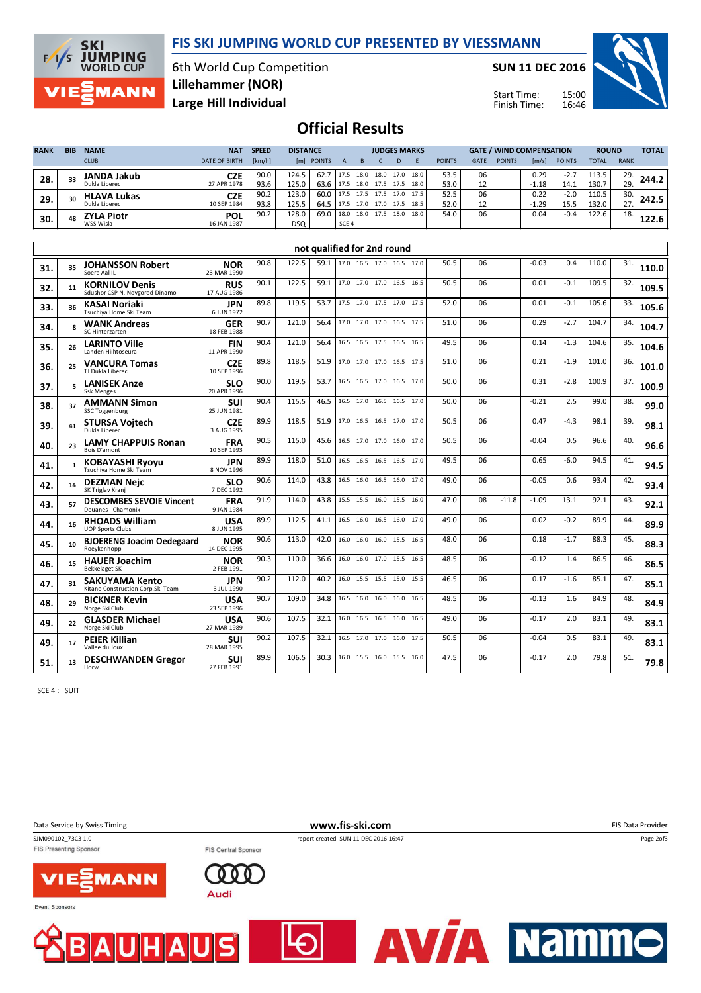### FIS SKI JUMPING WORLD CUP PRESENTED BY VIESSMANN



6th World Cup Competition Large Hill Individual Lillehammer (NOR)

SUN 11 DEC 2016

Start Time: Finish Time:



## Official Results

| <b>RANK</b> | <b>BIB</b> | <b>NAME</b>        | <b>NAT</b>           | <b>SPEED</b> | <b>DISTANCE</b> |            |       | <b>JUDGES MARKS</b> |      |      |      |               | <b>GATE / WIND COMPENSATION</b> |               |         |               | <b>ROUND</b> |             | <b>TOTAL</b> |
|-------------|------------|--------------------|----------------------|--------------|-----------------|------------|-------|---------------------|------|------|------|---------------|---------------------------------|---------------|---------|---------------|--------------|-------------|--------------|
|             |            | <b>CLUB</b>        | <b>DATE OF BIRTH</b> | [km/h]       |                 | [m] POINTS |       |                     |      | D    |      | <b>POINTS</b> | <b>GATE</b>                     | <b>POINTS</b> | [m/s]   | <b>POINTS</b> | <b>TOTAL</b> | <b>RANK</b> |              |
| 28.         | 33         | <b>JANDA Jakub</b> | <b>CZE</b>           | 90.0         | 124.5           | 62.7       | 17.5  | 18.0                | 18.0 | 17.0 | 18.0 | 53.5          | 06                              |               | 0.29    | $-2.7$        | 113.5        | 29.         | 744.2        |
|             |            | Dukla Liberec      | 27 APR 1978          | 93.6         | 125.0           | 63.6       | 17.5  | 18.0 17.5 17.5      |      |      | 18.0 | 53.0          |                                 |               | $-1.18$ | 14.1          | 130.7        | 29.         |              |
| 29          | 30         | <b>HLAVA Lukas</b> | <b>CZE</b>           | 90.2         | 123.0           | 60.0       | 17.5  | 17.5 17.5 17.0      |      |      | 17.5 | 52.5          | 06                              |               | 0.22    | $-2.0$        | 110.5        | 30.         | 242.5        |
|             |            | Dukla Liberec      | 10 SEP 1984          | 93.8         | 125.5           | 64.5       | 17.5  | 17.0 17.0 17.5      |      |      | 18.5 | 52.0          | 12                              |               | $-1.29$ | 15.5          | 132.0        | 27.         |              |
| 30.         | 48         | <b>ZYLA Piotr</b>  | <b>POL</b>           | 90.2         | 128.0           | 69.0       | 18.0  | 18.0 17.5 18.0      |      |      | 18.0 | 54.0          | 06                              |               | 0.04    | $-0.4$        | 122.6        | 18.         |              |
|             |            | WSS Wisla          | 16 JAN 1987          |              | <b>DSQ</b>      |            | SCE 4 |                     |      |      |      |               |                                 |               |         |               |              |             | 122.6        |

|     |              |                                                             |                           |      |       | not qualified for 2nd round |                          |                          |  |      |      |    |         |         |        |       |     |       |
|-----|--------------|-------------------------------------------------------------|---------------------------|------|-------|-----------------------------|--------------------------|--------------------------|--|------|------|----|---------|---------|--------|-------|-----|-------|
| 31. | 35           | <b>JOHANSSON Robert</b><br>Soere Aal II                     | <b>NOR</b><br>23 MAR 1990 | 90.8 | 122.5 | 59.1                        | 17.0 16.5 17.0 16.5 17.0 |                          |  |      | 50.5 | 06 |         | $-0.03$ | 0.4    | 110.0 | 31. | 110.0 |
| 32. | 11           | <b>KORNILOV Denis</b><br>Sdushor CSP N. Novgorod Dinamo     | <b>RUS</b><br>17 AUG 1986 | 90.1 | 122.5 | 59.1                        | 17.0 17.0 17.0 16.5 16.5 |                          |  |      | 50.5 | 06 |         | 0.01    | $-0.1$ | 109.5 | 32. | 109.5 |
| 33. | 36           | <b>KASAI Noriaki</b><br>Tsuchiva Home Ski Team              | <b>JPN</b><br>6 JUN 1972  | 89.8 | 119.5 | 53.7                        | 17.5 17.0 17.5 17.0 17.5 |                          |  |      | 52.0 | 06 |         | 0.01    | $-0.1$ | 105.6 | 33. | 105.6 |
| 34. | g            | <b>WANK Andreas</b><br>SC Hinterzarten                      | <b>GER</b><br>18 FEB 1988 | 90.7 | 121.0 | 56.4                        | 17.0 17.0 17.0 16.5 17.5 |                          |  |      | 51.0 | 06 |         | 0.29    | $-2.7$ | 104.7 | 34. | 104.7 |
| 35. | 26           | <b>LARINTO Ville</b><br>Lahden Hiihtoseura                  | <b>FIN</b><br>11 APR 1990 | 90.4 | 121.0 | 56.4                        |                          | 16.5 16.5 17.5 16.5 16.5 |  |      | 49.5 | 06 |         | 0.14    | $-1.3$ | 104.6 | 35. | 104.6 |
| 36. | 25           | <b>VANCURA Tomas</b><br>TJ Dukla Liberec                    | <b>CZE</b><br>10 SEP 1996 | 89.8 | 118.5 | 51.9                        | 17.0 17.0 17.0 16.5 17.5 |                          |  |      | 51.0 | 06 |         | 0.21    | $-1.9$ | 101.0 | 36. | 101.0 |
| 37. | 5            | <b>LANISEK Anze</b><br><b>Ssk Menges</b>                    | <b>SLO</b><br>20 APR 1996 | 90.0 | 119.5 | 53.7                        | 16.5 16.5 17.0 16.5      |                          |  | 17.0 | 50.0 | 06 |         | 0.31    | $-2.8$ | 100.9 | 37. | 100.9 |
| 38. | 37           | <b>AMMANN Simon</b><br><b>SSC Toggenburg</b>                | <b>SUI</b><br>25 JUN 1981 | 90.4 | 115.5 | 46.5                        |                          | 16.5 17.0 16.5 16.5 17.0 |  |      | 50.0 | 06 |         | $-0.21$ | 2.5    | 99.0  | 38. | 99.0  |
| 39. | 41           | <b>STURSA Vojtech</b><br>Dukla Liberec                      | <b>CZE</b><br>3 AUG 1995  | 89.9 | 118.5 | 51.9                        | 17.0 16.5 16.5 17.0      |                          |  | 17.0 | 50.5 | 06 |         | 0.47    | $-4.3$ | 98.1  | 39. | 98.1  |
| 40. | 23           | <b>LAMY CHAPPUIS Ronan</b><br><b>Bois D'amont</b>           | <b>FRA</b><br>10 SEP 1993 | 90.5 | 115.0 | 45.6                        |                          | 16.5 17.0 17.0 16.0 17.0 |  |      | 50.5 | 06 |         | $-0.04$ | 0.5    | 96.6  | 40. | 96.6  |
| 41. | $\mathbf{1}$ | <b>KOBAYASHI Ryoyu</b><br>Tsuchiva Home Ski Team            | <b>JPN</b><br>8 NOV 1996  | 89.9 | 118.0 | 51.0                        |                          | 16.5 16.5 16.5 16.5 17.0 |  |      | 49.5 | 06 |         | 0.65    | $-6.0$ | 94.5  | 41. | 94.5  |
| 42. | 14           | <b>DEZMAN Neic</b><br>SK Triglav Kranj                      | <b>SLO</b><br>7 DEC 1992  | 90.6 | 114.0 | 43.8                        | 16.5 16.0 16.5 16.0      |                          |  | 17.0 | 49.0 | 06 |         | $-0.05$ | 0.6    | 93.4  | 42. | 93.4  |
| 43. | 57           | <b>DESCOMBES SEVOIE Vincent</b><br>Douanes - Chamonix       | <b>FRA</b><br>9 JAN 1984  | 91.9 | 114.0 | 43.8                        |                          | 15.5 15.5 16.0 15.5 16.0 |  |      | 47.0 | 08 | $-11.8$ | $-1.09$ | 13.1   | 92.1  | 43. | 92.1  |
| 44. | 16           | <b>RHOADS William</b><br><b>UOP Sports Clubs</b>            | <b>USA</b><br>8 JUN 1995  | 89.9 | 112.5 | 41.1                        | 16.5 16.0 16.5 16.0 17.0 |                          |  |      | 49.0 | 06 |         | 0.02    | $-0.2$ | 89.9  | 44. | 89.9  |
| 45. | 10           | <b>BJOERENG Joacim Oedegaard</b><br>Roevkenhopp             | <b>NOR</b><br>14 DEC 1995 | 90.6 | 113.0 | 42.0                        |                          | 16.0 16.0 16.0 15.5 16.5 |  |      | 48.0 | 06 |         | 0.18    | $-1.7$ | 88.3  | 45. | 88.3  |
| 46. | 15           | <b>HAUER Joachim</b><br><b>Bekkelaget SK</b>                | <b>NOR</b><br>2 FEB 1991  | 90.3 | 110.0 | 36.6                        | 16.0 16.0 17.0 15.5      |                          |  | 16.5 | 48.5 | 06 |         | $-0.12$ | 1.4    | 86.5  | 46. | 86.5  |
| 47. | 31           | <b>SAKUYAMA Kento</b><br>Kitano Construction Corp. Ski Team | <b>JPN</b><br>3 JUL 1990  | 90.2 | 112.0 | 40.2                        |                          | 16.0 15.5 15.5 15.0 15.5 |  |      | 46.5 | 06 |         | 0.17    | $-1.6$ | 85.1  | 47. | 85.1  |
| 48. | 29           | <b>BICKNER Kevin</b><br>Norge Ski Club                      | <b>USA</b><br>23 SEP 1996 | 90.7 | 109.0 | 34.8                        |                          | 16.5 16.0 16.0 16.0      |  | 16.5 | 48.5 | 06 |         | $-0.13$ | 1.6    | 84.9  | 48. | 84.9  |
| 49. | 22           | <b>GLASDER Michael</b><br>Norge Ski Club                    | <b>USA</b><br>27 MAR 1989 | 90.6 | 107.5 | 32.1                        | 16.0 16.5 16.5 16.0      |                          |  | 16.5 | 49.0 | 06 |         | $-0.17$ | 2.0    | 83.1  | 49. | 83.1  |
| 49. | 17           | <b>PEIER Killian</b><br>Vallee du Joux                      | SUI<br>28 MAR 1995        | 90.2 | 107.5 | 32.1                        |                          | 16.5 17.0 17.0 16.0 17.5 |  |      | 50.5 | 06 |         | $-0.04$ | 0.5    | 83.1  | 49. | 83.1  |
| 51. | 13           | <b>DESCHWANDEN Gregor</b><br>Horw                           | SUI<br>27 FEB 1991        | 89.9 | 106.5 | 30.3                        |                          | 16.0 15.5 16.0 15.5      |  | 16.0 | 47.5 | 06 |         | $-0.17$ | 2.0    | 79.8  | 51. | 79.8  |

SCE 4 : SUIT